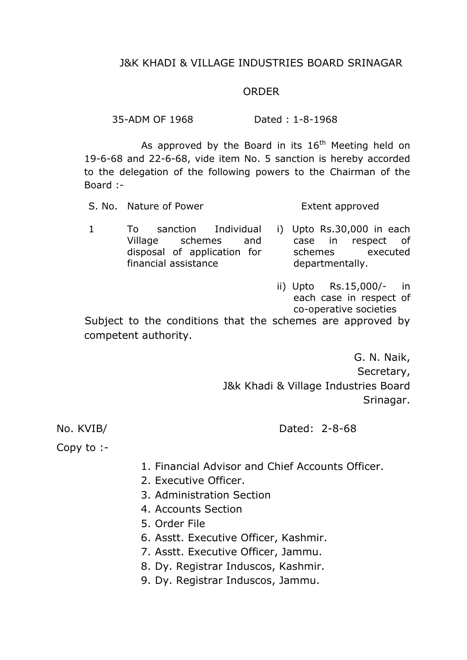### J&K KHADI & VILLAGE INDUSTRIES BOARD SRINAGAR

#### ORDER

35-ADM OF 1968 Dated : 1-8-1968

As approved by the Board in its  $16<sup>th</sup>$  Meeting held on 19-6-68 and 22-6-68, vide item No. 5 sanction is hereby accorded to the delegation of the following powers to the Chairman of the Board :-

S. No. Nature of Power Extent approved

- 1 To sanction Individual Village schemes and disposal of application for financial assistance i) Upto Rs.30,000 in each case in respect of schemes executed departmentally.
	- ii) Upto Rs.15,000/- in each case in respect of co-operative societies

Subject to the conditions that the schemes are approved by competent authority.

> G. N. Naik, Secretary, J&k Khadi & Village Industries Board Srinagar.

No. KVIB/ Dated: 2-8-68

Copy to :-

- 1. Financial Advisor and Chief Accounts Officer.
- 2. Executive Officer.
- 3. Administration Section
- 4. Accounts Section
- 5. Order File
- 6. Asstt. Executive Officer, Kashmir.
- 7. Asstt. Executive Officer, Jammu.
- 8. Dy. Registrar Induscos, Kashmir.
- 9. Dy. Registrar Induscos, Jammu.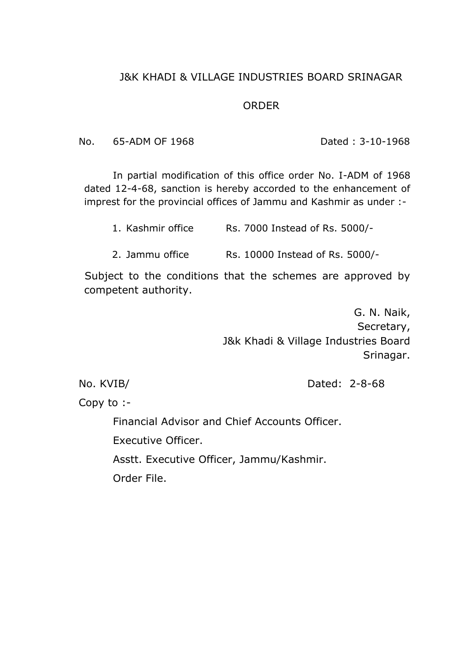# J&K KHADI & VILLAGE INDUSTRIES BOARD SRINAGAR

#### ORDER

No. 65-ADM OF 1968 Dated : 3-10-1968

In partial modification of this office order No. I-ADM of 1968 dated 12-4-68, sanction is hereby accorded to the enhancement of imprest for the provincial offices of Jammu and Kashmir as under :-

1. Kashmir office Rs. 7000 Instead of Rs. 5000/-

2. Jammu office Rs. 10000 Instead of Rs. 5000/-

Subject to the conditions that the schemes are approved by competent authority.

> G. N. Naik, Secretary, J&k Khadi & Village Industries Board Srinagar.

No. KVIB/ Dated: 2-8-68

Copy to :-

Financial Advisor and Chief Accounts Officer.

Executive Officer.

Asstt. Executive Officer, Jammu/Kashmir.

Order File.